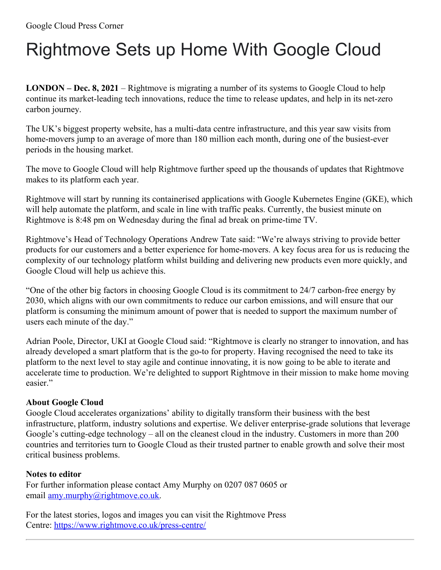## Rightmove Sets up Home With Google Cloud

**LONDON – Dec. 8, 2021** – Rightmove is migrating a number of its systems to Google Cloud to help continue its market-leading tech innovations, reduce the time to release updates, and help in its net-zero carbon journey.

The UK's biggest property website, has a multi-data centre infrastructure, and this year saw visits from home-movers jump to an average of more than 180 million each month, during one of the busiest-ever periods in the housing market.

The move to Google Cloud will help Rightmove further speed up the thousands of updates that Rightmove makes to its platform each year.

Rightmove will start by running its containerised applications with Google Kubernetes Engine (GKE), which will help automate the platform, and scale in line with traffic peaks. Currently, the busiest minute on Rightmove is 8:48 pm on Wednesday during the final ad break on prime-time TV.

Rightmove's Head of Technology Operations Andrew Tate said: "We're always striving to provide better products for our customers and a better experience for home-movers. A key focus area for us is reducing the complexity of our technology platform whilst building and delivering new products even more quickly, and Google Cloud will help us achieve this.

"One of the other big factors in choosing Google Cloud is its commitment to 24/7 carbon-free energy by 2030, which aligns with our own commitments to reduce our carbon emissions, and will ensure that our platform is consuming the minimum amount of power that is needed to support the maximum number of users each minute of the day."

Adrian Poole, Director, UKI at Google Cloud said: "Rightmove is clearly no stranger to innovation, and has already developed a smart platform that is the go-to for property. Having recognised the need to take its platform to the next level to stay agile and continue innovating, it is now going to be able to iterate and accelerate time to production. We're delighted to support Rightmove in their mission to make home moving easier."

## **About Google Cloud**

Google Cloud accelerates organizations' ability to digitally transform their business with the best infrastructure, platform, industry solutions and expertise. We deliver enterprise-grade solutions that leverage Google's cutting-edge technology – all on the cleanest cloud in the industry. Customers in more than 200 countries and territories turn to Google Cloud as their trusted partner to enable growth and solve their most critical business problems.

## **Notes to editor**

For further information please contact Amy Murphy on 0207 087 0605 or email [amy.murphy@rightmove.co.uk](mailto:amy.murphy@rightmove.co.uk).

For the latest stories, logos and images you can visit the Rightmove Press Centre: <https://www.rightmove.co.uk/press-centre/>